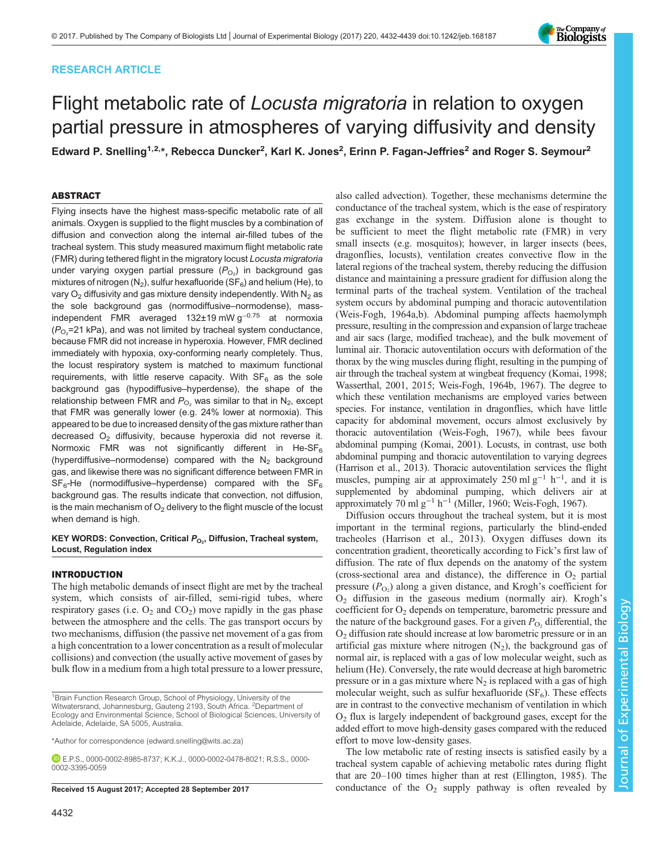# RESEARCH ARTICLE

# Flight metabolic rate of Locusta migratoria in relation to oxygen partial pressure in atmospheres of varying diffusivity and density

Edward P. Snelling<sup>1,2,</sup>\*, Rebecca Duncker<sup>2</sup>, Karl K. Jones<sup>2</sup>, Erinn P. Fagan-Jeffries<sup>2</sup> and Roger S. Seymour<sup>2</sup>

# ABSTRACT

Flying insects have the highest mass-specific metabolic rate of all animals. Oxygen is supplied to the flight muscles by a combination of diffusion and convection along the internal air-filled tubes of the tracheal system. This study measured maximum flight metabolic rate (FMR) during tethered flight in the migratory locust Locusta migratoria under varying oxygen partial pressure  $(P_{\bigcirc_2})$  in background gas mixtures of nitrogen  $(N_2)$ , sulfur hexafluoride (SF<sub>6</sub>) and helium (He), to vary  $O_2$  diffusivity and gas mixture density independently. With  $N_2$  as the sole background gas (normodiffusive–normodense), massindependent FMR averaged 132±19 mW g−0.75 at normoxia ( $P_{\mathrm{O_2}}$ =21 kPa), and was not limited by tracheal system conductance, because FMR did not increase in hyperoxia. However, FMR declined immediately with hypoxia, oxy-conforming nearly completely. Thus, the locust respiratory system is matched to maximum functional requirements, with little reserve capacity. With  $SF<sub>6</sub>$  as the sole background gas (hypodiffusive–hyperdense), the shape of the relationship between FMR and  $P_{O_2}$  was similar to that in  $N_2$ , except that FMR was generally lower (e.g. 24% lower at normoxia). This appeared to be due to increased density of the gas mixture rather than decreased  $O<sub>2</sub>$  diffusivity, because hyperoxia did not reverse it. Normoxic FMR was not significantly different in He-SF $_6$ (hyperdiffusive–normodense) compared with the  $N_2$  background gas, and likewise there was no significant difference between FMR in  $SF<sub>6</sub>$ -He (normodiffusive–hyperdense) compared with the  $SF<sub>6</sub>$ background gas. The results indicate that convection, not diffusion, is the main mechanism of  $O<sub>2</sub>$  delivery to the flight muscle of the locust when demand is high.

## KEY WORDS: Convection, Critical *P<sub>O2</sub>,* Diffusion, Tracheal system,<br>Locust, Pequistion index Locust, Regulation index

# INTRODUCTION

The high metabolic demands of insect flight are met by the tracheal system, which consists of air-filled, semi-rigid tubes, where respiratory gases (i.e.  $O_2$  and  $CO_2$ ) move rapidly in the gas phase between the atmosphere and the cells. The gas transport occurs by two mechanisms, diffusion (the passive net movement of a gas from a high concentration to a lower concentration as a result of molecular collisions) and convection (the usually active movement of gases by bulk flow in a medium from a high total pressure to a lower pressure,

\*Author for correspondence [\(edward.snelling@wits.ac.za\)](mailto:edward.snelling@wits.ac.za)

E.P.S., [0000-0002-8985-8737;](http://orcid.org/0000-0002-8985-8737) K.K.J., [0000-0002-0478-8021;](http://orcid.org/0000-0002-0478-8021) R.S.S., [0000-](http://orcid.org/0000-0002-3395-0059) [0002-3395-0059](http://orcid.org/0000-0002-3395-0059)

conductance of the tracheal system, which is the ease of respiratory gas exchange in the system. Diffusion alone is thought to be sufficient to meet the flight metabolic rate (FMR) in very small insects (e.g. mosquitos); however, in larger insects (bees, dragonflies, locusts), ventilation creates convective flow in the lateral regions of the tracheal system, thereby reducing the diffusion distance and maintaining a pressure gradient for diffusion along the terminal parts of the tracheal system. Ventilation of the tracheal system occurs by abdominal pumping and thoracic autoventilation [\(Weis-Fogh, 1964a](#page-7-0),[b\)](#page-7-0). Abdominal pumping affects haemolymph pressure, resulting in the compression and expansion of large tracheae and air sacs (large, modified tracheae), and the bulk movement of luminal air. Thoracic autoventilation occurs with deformation of the thorax by the wing muscles during flight, resulting in the pumping of air through the tracheal system at wingbeat frequency [\(Komai, 1998](#page-6-0); [Wasserthal, 2001, 2015](#page-7-0); [Weis-Fogh, 1964b](#page-7-0), [1967\)](#page-7-0). The degree to which these ventilation mechanisms are employed varies between species. For instance, ventilation in dragonflies, which have little capacity for abdominal movement, occurs almost exclusively by thoracic autoventilation [\(Weis-Fogh, 1967](#page-7-0)), while bees favour abdominal pumping [\(Komai, 2001\)](#page-6-0). Locusts, in contrast, use both abdominal pumping and thoracic autoventilation to varying degrees [\(Harrison et al., 2013](#page-6-0)). Thoracic autoventilation services the flight muscles, pumping air at approximately 250 ml  $g^{-1}$  h<sup>-1</sup>, and it is supplemented by abdominal pumping, which delivers air at approximately 70 ml g<sup>-1</sup> h<sup>-1</sup> [\(Miller, 1960;](#page-6-0) [Weis-Fogh, 1967\)](#page-7-0).

also called advection). Together, these mechanisms determine the

Diffusion occurs throughout the tracheal system, but it is most important in the terminal regions, particularly the blind-ended tracheoles ([Harrison et al., 2013\)](#page-6-0). Oxygen diffuses down its concentration gradient, theoretically according to Fick's first law of diffusion. The rate of flux depends on the anatomy of the system (cross-sectional area and distance), the difference in  $O_2$  partial pressure  $(P_{\text{O}_2})$  along a given distance, and Krogh's coefficient for  $O<sub>2</sub>$  diffusion in the gaseous medium (normally air). Krogh's coefficient for  $O_2$  depends on temperature, barometric pressure and the nature of the background gases. For a given  $P_{\text{O}_2}$  differential, the  $O<sub>2</sub>$  diffusion rate should increase at low barometric pressure or in an artificial gas mixture where nitrogen  $(N_2)$ , the background gas of normal air, is replaced with a gas of low molecular weight, such as helium (He). Conversely, the rate would decrease at high barometric pressure or in a gas mixture where  $N_2$  is replaced with a gas of high molecular weight, such as sulfur hexafluoride  $(SF_6)$ . These effects are in contrast to the convective mechanism of ventilation in which  $O<sub>2</sub>$  flux is largely independent of background gases, except for the added effort to move high-density gases compared with the reduced effort to move low-density gases.

The low metabolic rate of resting insects is satisfied easily by a tracheal system capable of achieving metabolic rates during flight that are 20–100 times higher than at rest ([Ellington, 1985](#page-6-0)). The Received 15 August 2017; Accepted 28 September 2017 conductance of the O<sub>2</sub> supply pathway is often revealed by



<sup>&</sup>lt;sup>1</sup>Brain Function Research Group, School of Physiology, University of the Witwatersrand, Johannesburg, Gauteng 2193, South Africa. <sup>2</sup>Department of Ecology and Environmental Science, School of Biological Sciences, University of Adelaide, Adelaide, SA 5005, Australia.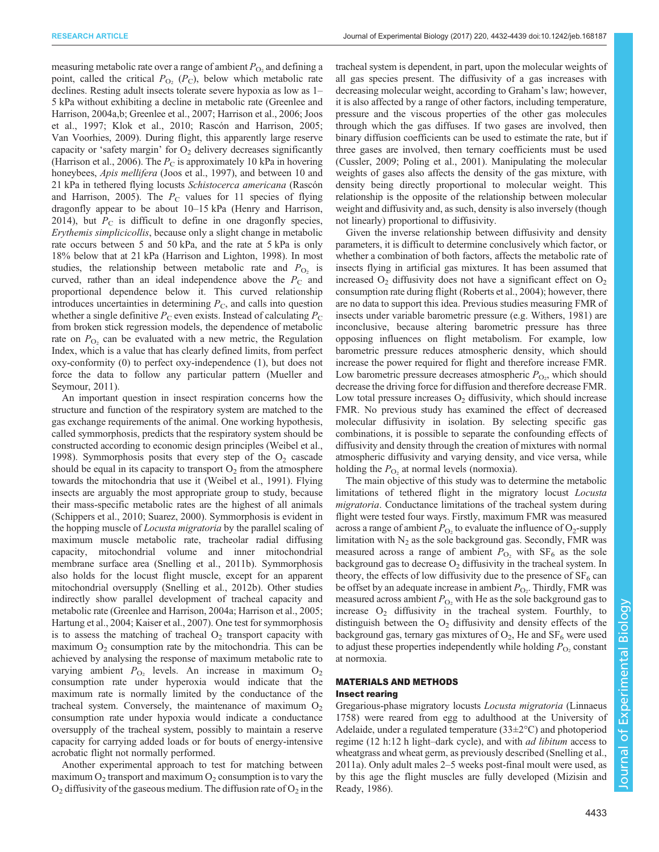measuring metabolic rate over a range of ambient  $P_{\text{O}_2}$  and defining a point, called the critical  $P_{\text{O}_2}$  ( $P_{\text{C}}$ ), below which metabolic rate declines. Resting adult insects tolerate severe hypoxia as low as 1– 5 kPa without exhibiting a decline in metabolic rate ([Greenlee and](#page-6-0) [Harrison, 2004a,b; Greenlee et al., 2007](#page-6-0); [Harrison et al., 2006; Joos](#page-6-0) [et al., 1997](#page-6-0); [Klok et al., 2010; Rascón and Harrison, 2005](#page-6-0); [Van Voorhies, 2009](#page-7-0)). During flight, this apparently large reserve capacity or 'safety margin' for  $O<sub>2</sub>$  delivery decreases significantly [\(Harrison et al., 2006\)](#page-6-0). The  $P_C$  is approximately 10 kPa in hovering honeybees, *Apis mellifera* [\(Joos et al., 1997\)](#page-6-0), and between 10 and 21 kPa in tethered flying locusts Schistocerca americana [\(Rascón](#page-6-0) [and Harrison, 2005](#page-6-0)). The  $P_C$  values for 11 species of flying dragonfly appear to be about 10–15 kPa [\(Henry and Harrison,](#page-6-0) [2014](#page-6-0)), but  $P_{\rm C}$  is difficult to define in one dragonfly species, Erythemis simplicicollis, because only a slight change in metabolic rate occurs between 5 and 50 kPa, and the rate at 5 kPa is only 18% below that at 21 kPa [\(Harrison and Lighton, 1998\)](#page-6-0). In most studies, the relationship between metabolic rate and  $P_{\text{O}_2}$  is curved, rather than an ideal independence above the  $P_{\rm C}$  and proportional dependence below it. This curved relationship introduces uncertainties in determining  $P_{\rm C}$ , and calls into question whether a single definitive  $P_{\rm C}$  even exists. Instead of calculating  $P_{\rm C}$ from broken stick regression models, the dependence of metabolic rate on  $P_{\text{O}_2}$  can be evaluated with a new metric, the Regulation Index, which is a value that has clearly defined limits, from perfect oxy-conformity (0) to perfect oxy-independence (1), but does not force the data to follow any particular pattern ([Mueller and](#page-6-0) [Seymour, 2011\)](#page-6-0).

An important question in insect respiration concerns how the structure and function of the respiratory system are matched to the gas exchange requirements of the animal. One working hypothesis, called symmorphosis, predicts that the respiratory system should be constructed according to economic design principles ([Weibel et al.,](#page-7-0) [1998](#page-7-0)). Symmorphosis posits that every step of the  $O<sub>2</sub>$  cascade should be equal in its capacity to transport  $O_2$  from the atmosphere towards the mitochondria that use it [\(Weibel et al., 1991\)](#page-7-0). Flying insects are arguably the most appropriate group to study, because their mass-specific metabolic rates are the highest of all animals [\(Schippers et al., 2010; Suarez, 2000\)](#page-7-0). Symmorphosis is evident in the hopping muscle of Locusta migratoria by the parallel scaling of maximum muscle metabolic rate, tracheolar radial diffusing capacity, mitochondrial volume and inner mitochondrial membrane surface area [\(Snelling et al., 2011b](#page-7-0)). Symmorphosis also holds for the locust flight muscle, except for an apparent mitochondrial oversupply ([Snelling et al., 2012b](#page-7-0)). Other studies indirectly show parallel development of tracheal capacity and metabolic rate ([Greenlee and Harrison, 2004a](#page-6-0); [Harrison et al., 2005](#page-6-0); [Hartung et al., 2004; Kaiser et al., 2007\)](#page-6-0). One test for symmorphosis is to assess the matching of tracheal  $O<sub>2</sub>$  transport capacity with maximum  $O<sub>2</sub>$  consumption rate by the mitochondria. This can be achieved by analysing the response of maximum metabolic rate to varying ambient  $P_{\text{O}_2}$  levels. An increase in maximum  $\text{O}_2$ consumption rate under hyperoxia would indicate that the maximum rate is normally limited by the conductance of the tracheal system. Conversely, the maintenance of maximum  $O<sub>2</sub>$ consumption rate under hypoxia would indicate a conductance oversupply of the tracheal system, possibly to maintain a reserve capacity for carrying added loads or for bouts of energy-intensive acrobatic flight not normally performed.

Another experimental approach to test for matching between maximum  $O_2$  transport and maximum  $O_2$  consumption is to vary the  $O_2$  diffusivity of the gaseous medium. The diffusion rate of  $O_2$  in the tracheal system is dependent, in part, upon the molecular weights of all gas species present. The diffusivity of a gas increases with decreasing molecular weight, according to Graham's law; however, it is also affected by a range of other factors, including temperature, pressure and the viscous properties of the other gas molecules through which the gas diffuses. If two gases are involved, then binary diffusion coefficients can be used to estimate the rate, but if three gases are involved, then ternary coefficients must be used [\(Cussler, 2009](#page-6-0); [Poling et al., 2001\)](#page-6-0). Manipulating the molecular weights of gases also affects the density of the gas mixture, with density being directly proportional to molecular weight. This relationship is the opposite of the relationship between molecular weight and diffusivity and, as such, density is also inversely (though not linearly) proportional to diffusivity.

Given the inverse relationship between diffusivity and density parameters, it is difficult to determine conclusively which factor, or whether a combination of both factors, affects the metabolic rate of insects flying in artificial gas mixtures. It has been assumed that increased  $O_2$  diffusivity does not have a significant effect on  $O_2$ consumption rate during flight [\(Roberts et al., 2004\)](#page-7-0); however, there are no data to support this idea. Previous studies measuring FMR of insects under variable barometric pressure (e.g. [Withers, 1981](#page-7-0)) are inconclusive, because altering barometric pressure has three opposing influences on flight metabolism. For example, low barometric pressure reduces atmospheric density, which should increase the power required for flight and therefore increase FMR. Low barometric pressure decreases atmospheric  $P_{\text{O}_2}$ , which should decrease the driving force for diffusion and therefore decrease FMR. Low total pressure increases  $O_2$  diffusivity, which should increase FMR. No previous study has examined the effect of decreased molecular diffusivity in isolation. By selecting specific gas combinations, it is possible to separate the confounding effects of diffusivity and density through the creation of mixtures with normal atmospheric diffusivity and varying density, and vice versa, while holding the  $P_{\text{O}_2}$  at normal levels (normoxia).

The main objective of this study was to determine the metabolic limitations of tethered flight in the migratory locust Locusta migratoria. Conductance limitations of the tracheal system during flight were tested four ways. Firstly, maximum FMR was measured across a range of ambient  $P_{\text{O}_2}$  to evaluate the influence of  $\text{O}_2$ -supply limitation with  $N_2$  as the sole background gas. Secondly, FMR was measured across a range of ambient  $P_{\text{O}_2}$  with  $SF_6$  as the sole background gas to decrease  $O_2$  diffusivity in the tracheal system. In theory, the effects of low diffusivity due to the presence of  $SF<sub>6</sub>$  can be offset by an adequate increase in ambient  $P_{\text{O}_2}$ . Thirdly, FMR was measured across ambient  $P_{\text{O}_2}$  with He as the sole background gas to increase  $O_2$  diffusivity in the tracheal system. Fourthly, to distinguish between the  $O_2$  diffusivity and density effects of the background gas, ternary gas mixtures of  $O_2$ , He and  $SF_6$  were used to adjust these properties independently while holding  $P_{\text{O}_2}$  constant at normoxia.

# MATERIALS AND METHODS Insect rearing

Gregarious-phase migratory locusts Locusta migratoria (Linnaeus 1758) were reared from egg to adulthood at the University of Adelaide, under a regulated temperature (33±2°C) and photoperiod regime (12 h:12 h light–dark cycle), and with ad libitum access to wheatgrass and wheat germ, as previously described ([Snelling et al.,](#page-7-0) [2011a](#page-7-0)). Only adult males 2–5 weeks post-final moult were used, as by this age the flight muscles are fully developed [\(Mizisin and](#page-6-0) [Ready, 1986\)](#page-6-0).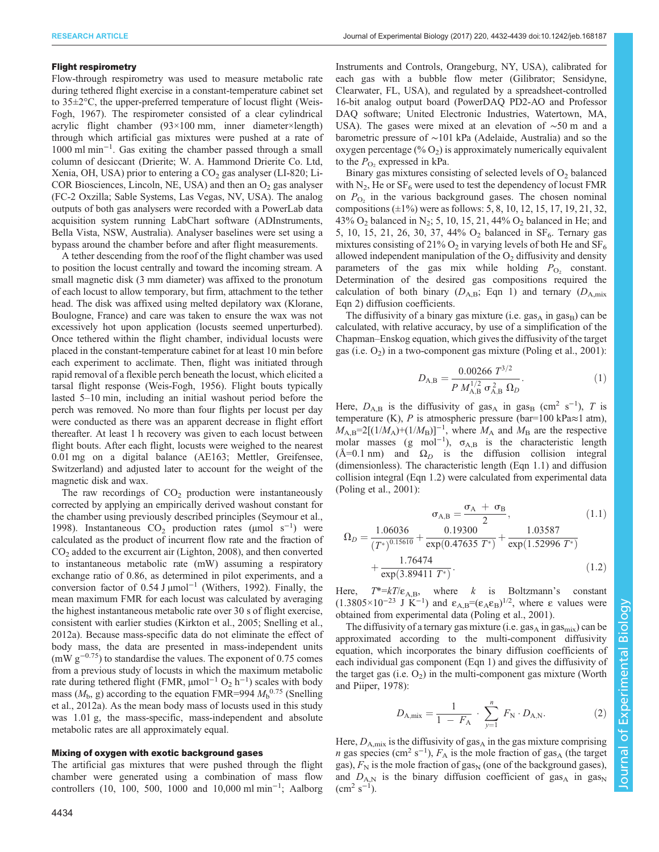## Flight respirometry

Flow-through respirometry was used to measure metabolic rate during tethered flight exercise in a constant-temperature cabinet set to 35±2°C, the upper-preferred temperature of locust flight ([Weis-](#page-7-0)[Fogh, 1967\)](#page-7-0). The respirometer consisted of a clear cylindrical acrylic flight chamber (93×100 mm, inner diameter×length) through which artificial gas mixtures were pushed at a rate of 1000 ml min−<sup>1</sup> . Gas exiting the chamber passed through a small column of desiccant (Drierite; W. A. Hammond Drierite Co. Ltd, Xenia, OH, USA) prior to entering a  $CO<sub>2</sub>$  gas analyser (LI-820; Li-COR Biosciences, Lincoln, NE, USA) and then an  $O<sub>2</sub>$  gas analyser (FC-2 Oxzilla; Sable Systems, Las Vegas, NV, USA). The analog outputs of both gas analysers were recorded with a PowerLab data acquisition system running LabChart software (ADInstruments, Bella Vista, NSW, Australia). Analyser baselines were set using a bypass around the chamber before and after flight measurements.

A tether descending from the roof of the flight chamber was used to position the locust centrally and toward the incoming stream. A small magnetic disk (3 mm diameter) was affixed to the pronotum of each locust to allow temporary, but firm, attachment to the tether head. The disk was affixed using melted depilatory wax (Klorane, Boulogne, France) and care was taken to ensure the wax was not excessively hot upon application (locusts seemed unperturbed). Once tethered within the flight chamber, individual locusts were placed in the constant-temperature cabinet for at least 10 min before each experiment to acclimate. Then, flight was initiated through rapid removal of a flexible perch beneath the locust, which elicited a tarsal flight response ([Weis-Fogh, 1956](#page-7-0)). Flight bouts typically lasted 5–10 min, including an initial washout period before the perch was removed. No more than four flights per locust per day were conducted as there was an apparent decrease in flight effort thereafter. At least 1 h recovery was given to each locust between flight bouts. After each flight, locusts were weighed to the nearest 0.01 mg on a digital balance (AE163; Mettler, Greifensee, Switzerland) and adjusted later to account for the weight of the magnetic disk and wax.

The raw recordings of  $CO<sub>2</sub>$  production were instantaneously corrected by applying an empirically derived washout constant for the chamber using previously described principles [\(Seymour et al.,](#page-7-0) [1998](#page-7-0)). Instantaneous CO<sub>2</sub> production rates (μmol s<sup>-1</sup>) were calculated as the product of incurrent flow rate and the fraction of  $CO<sub>2</sub>$  added to the excurrent air [\(Lighton, 2008\)](#page-6-0), and then converted to instantaneous metabolic rate (mW) assuming a respiratory exchange ratio of 0.86, as determined in pilot experiments, and a conversion factor of 0.54 J µmol−<sup>1</sup> ([Withers, 1992\)](#page-7-0). Finally, the mean maximum FMR for each locust was calculated by averaging the highest instantaneous metabolic rate over 30 s of flight exercise, consistent with earlier studies [\(Kirkton et al., 2005;](#page-6-0) [Snelling et al.,](#page-7-0) [2012a](#page-7-0)). Because mass-specific data do not eliminate the effect of body mass, the data are presented in mass-independent units  $(mW g<sup>-0.75</sup>)$  to standardise the values. The exponent of 0.75 comes from a previous study of locusts in which the maximum metabolic rate during tethered flight (FMR,  $\mu$ mol<sup>-1</sup> O<sub>2</sub> h<sup>-1</sup>) scales with body mass  $(M_b, g)$  according to the equation FMR=994  $M_b^{0.75}$  ([Snelling](#page-7-0) [et al., 2012a](#page-7-0)). As the mean body mass of locusts used in this study was 1.01 g, the mass-specific, mass-independent and absolute metabolic rates are all approximately equal.

## Mixing of oxygen with exotic background gases

The artificial gas mixtures that were pushed through the flight chamber were generated using a combination of mass flow controllers (10, 100, 500, 1000 and 10,000 ml min−<sup>1</sup> ; Aalborg

Instruments and Controls, Orangeburg, NY, USA), calibrated for each gas with a bubble flow meter (Gilibrator; Sensidyne, Clearwater, FL, USA), and regulated by a spreadsheet-controlled 16-bit analog output board (PowerDAQ PD2-AO and Professor DAQ software; United Electronic Industries, Watertown, MA, USA). The gases were mixed at an elevation of ∼50 m and a barometric pressure of ∼101 kPa (Adelaide, Australia) and so the oxygen percentage (% $O<sub>2</sub>$ ) is approximately numerically equivalent to the  $P_{\Omega_2}$  expressed in kPa.

Binary gas mixtures consisting of selected levels of  $O<sub>2</sub>$  balanced with  $N_2$ , He or  $SF_6$  were used to test the dependency of locust FMR on  $P_{\text{O}_2}$  in the various background gases. The chosen nominal compositions  $(\pm 1\%)$  were as follows: 5, 8, 10, 12, 15, 17, 19, 21, 32, 43% O<sub>2</sub> balanced in N<sub>2</sub>; 5, 10, 15, 21, 44% O<sub>2</sub> balanced in He; and 5, 10, 15, 21, 26, 30, 37, 44%  $O_2$  balanced in SF<sub>6</sub>. Ternary gas mixtures consisting of 21%  $O_2$  in varying levels of both He and  $SF_6$ allowed independent manipulation of the  $O<sub>2</sub>$  diffusivity and density parameters of the gas mix while holding  $P_{\text{O}_2}$  constant. Determination of the desired gas compositions required the calculation of both binary ( $D_{A,B}$ ; Eqn 1) and ternary ( $D_{A,\text{mix}}$ Eqn 2) diffusion coefficients.

The diffusivity of a binary gas mixture (i.e.  $\text{gas}_{A}$  in  $\text{gas}_{B}$ ) can be calculated, with relative accuracy, by use of a simplification of the Chapman–Enskog equation, which gives the diffusivity of the target gas (i.e.  $O_2$ ) in a two-component gas mixture ([Poling et al., 2001](#page-6-0)):

$$
D_{\rm A,B} = \frac{0.00266 \ T^{3/2}}{P \ M_{\rm A,B}^{1/2} \ \sigma_{\rm A,B}^2 \ \Omega_D}.
$$
 (1)

Here,  $D_{A,B}$  is the diffusivity of gas<sub>A</sub> in gas<sub>B</sub> (cm<sup>2</sup> s<sup>-1</sup>), T is temperature (K), P is atmospheric pressure (bar=100 kPa $\approx$ 1 atm),  $M_{A,B} = 2[(1/M_A)+(1/M_B)]^{-1}$ , where  $M_A$  and  $M_B$  are the respective molar masses (g mol<sup>-1</sup>),  $\sigma_{A,B}$  is the characteristic length  $(A=0.1 \text{ nm})$  and  $\Omega_D$  is the diffusion collision integral (dimensionless). The characteristic length (Eqn 1.1) and diffusion collision integral (Eqn 1.2) were calculated from experimental data [\(Poling et al., 2001\)](#page-6-0):

$$
\sigma_{A,B} = \frac{\sigma_A + \sigma_B}{2},
$$
(1.1)  

$$
\Omega_D = \frac{1.06036}{(T^*)^{0.15610}} + \frac{0.19300}{\exp(0.47635 T^*)} + \frac{1.03587}{\exp(1.52996 T^*)}
$$
(1.2)

$$
+\frac{1.76474}{\exp(3.89411 \ T^*)}.
$$
\n(1.2)

Here,  $T^* = kT/\varepsilon_{A,B}$ , where k is Boltzmann's constant  $(1.3805 \times 10^{-23} \text{ J K}^{-1})$  and  $\varepsilon_{A,B} = (\varepsilon_A \varepsilon_B)^{1/2}$ , where  $\varepsilon$  values were obtained from experimental data ([Poling et al., 2001](#page-6-0)).

The diffusivity of a ternary gas mixture (i.e.  $gas_A$  in  $gas_{mix}$ ) can be approximated according to the multi-component diffusivity equation, which incorporates the binary diffusion coefficients of each individual gas component (Eqn 1) and gives the diffusivity of the target gas (i.e.  $O_2$ ) in the multi-component gas mixture [\(Worth](#page-7-0) [and Piiper, 1978\)](#page-7-0):

$$
D_{A,\text{mix}} = \frac{1}{1 - F_A} \cdot \sum_{y=1}^{n} F_N \cdot D_{A,N}.
$$
 (2)

Here,  $D_{A,\text{mix}}$  is the diffusivity of gas<sub>A</sub> in the gas mixture comprising n gas species (cm<sup>2</sup> s<sup>-1</sup>),  $F_A$  is the mole fraction of gas<sub>A</sub> (the target gas),  $F_N$  is the mole fraction of gas<sub>N</sub> (one of the background gases), and  $D_{A,N}$  is the binary diffusion coefficient of gas<sub>A</sub> in gas<sub>N</sub>  $\rm (cm^2~s^{-1}).$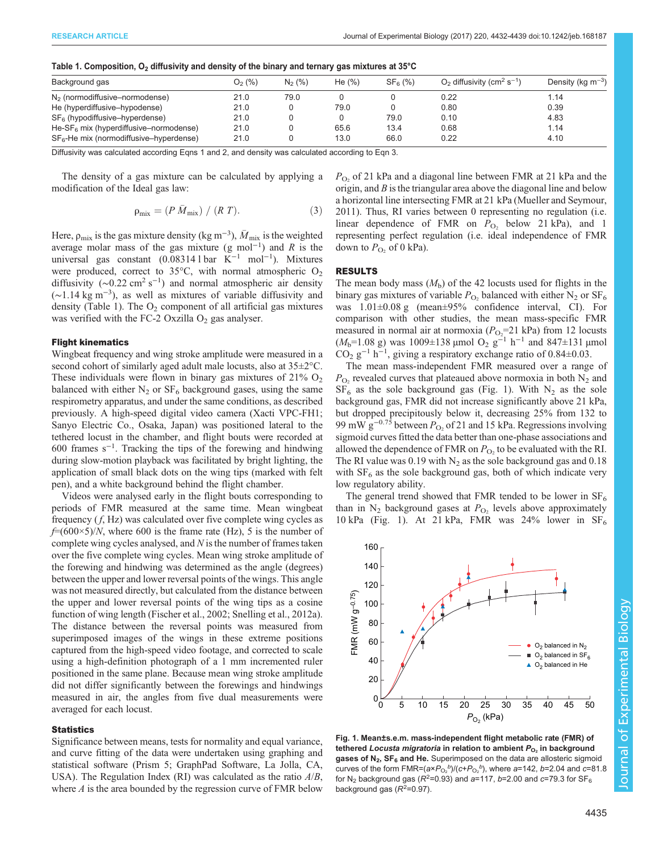| Background gas                                     | $O2$ (%) | $N_2$ (%) | He $(\%)$ | SF <sub>6</sub> (%) | $O2$ diffusivity (cm <sup>2</sup> s <sup>-1</sup> ) | Density (kg $m^{-3}$ ) |
|----------------------------------------------------|----------|-----------|-----------|---------------------|-----------------------------------------------------|------------------------|
| $N2$ (normodiffusive–normodense)                   | 21.0     | 79.0      |           |                     | 0.22                                                | 1.14                   |
| He (hyperdiffusive-hypodense)                      | 21.0     |           | 79.0      |                     | 0.80                                                | 0.39                   |
| $SF6$ (hypodiffusive-hyperdense)                   | 21.0     |           |           | 79.0                | 0.10                                                | 4.83                   |
| He-SF <sub>6</sub> mix (hyperdiffusive–normodense) | 21.0     |           | 65.6      | 13.4                | 86.0                                                | 1.14                   |
| $SF6$ -He mix (normodiffusive-hyperdense)          | 21.0     |           | 13.0      | 66.0                | 0.22                                                | 4.10                   |

<span id="page-3-0"></span>Table 1. Composition,  $O_2$  diffusivity and density of the binary and ternary gas mixtures at 35°C

Diffusivity was calculated according Eqns 1 and 2, and density was calculated according to Eqn 3.

The density of a gas mixture can be calculated by applying a modification of the Ideal gas law:

$$
\rho_{\text{mix}} = (P \bar{M}_{\text{mix}}) / (R \, T). \tag{3}
$$

Here,  $\rho_{\text{mix}}$  is the gas mixture density (kg m<sup>-3</sup>),  $\bar{M}_{\text{mix}}$  is the weighted average molar mass of the gas mixture (g mol<sup>-1</sup>) and R is the universal gas constant (0.08314 l bar K−<sup>1</sup> mol−<sup>1</sup> ). Mixtures were produced, correct to  $35^{\circ}$ C, with normal atmospheric O<sub>2</sub> diffusivity ( $\sim$ 0.22 cm<sup>2</sup> s<sup>-1</sup>) and normal atmospheric air density (∼1.14 kg m−<sup>3</sup> ), as well as mixtures of variable diffusivity and density (Table 1). The  $O_2$  component of all artificial gas mixtures was verified with the FC-2 Oxzilla  $O<sub>2</sub>$  gas analyser.

### Flight kinematics

Wingbeat frequency and wing stroke amplitude were measured in a second cohort of similarly aged adult male locusts, also at  $35\pm2^{\circ}$ C. These individuals were flown in binary gas mixtures of  $21\%$  O<sub>2</sub> balanced with either  $N_2$  or  $SF_6$  background gases, using the same respirometry apparatus, and under the same conditions, as described previously. A high-speed digital video camera (Xacti VPC-FH1; Sanyo Electric Co., Osaka, Japan) was positioned lateral to the tethered locust in the chamber, and flight bouts were recorded at 600 frames s−<sup>1</sup> . Tracking the tips of the forewing and hindwing during slow-motion playback was facilitated by bright lighting, the application of small black dots on the wing tips (marked with felt pen), and a white background behind the flight chamber.

Videos were analysed early in the flight bouts corresponding to periods of FMR measured at the same time. Mean wingbeat frequency  $(f, Hz)$  was calculated over five complete wing cycles as  $f=(600\times5)/N$ , where 600 is the frame rate (Hz), 5 is the number of complete wing cycles analysed, and  $N$  is the number of frames taken over the five complete wing cycles. Mean wing stroke amplitude of the forewing and hindwing was determined as the angle (degrees) between the upper and lower reversal points of the wings. This angle was not measured directly, but calculated from the distance between the upper and lower reversal points of the wing tips as a cosine function of wing length ([Fischer et al., 2002](#page-6-0); [Snelling et al., 2012a\)](#page-7-0). The distance between the reversal points was measured from superimposed images of the wings in these extreme positions captured from the high-speed video footage, and corrected to scale using a high-definition photograph of a 1 mm incremented ruler positioned in the same plane. Because mean wing stroke amplitude did not differ significantly between the forewings and hindwings measured in air, the angles from five dual measurements were averaged for each locust.

## **Statistics**

Significance between means, tests for normality and equal variance, and curve fitting of the data were undertaken using graphing and statistical software (Prism 5; GraphPad Software, La Jolla, CA, USA). The Regulation Index (RI) was calculated as the ratio  $A/B$ , where A is the area bounded by the regression curve of FMR below  $P<sub>O</sub>$ , of 21 kPa and a diagonal line between FMR at 21 kPa and the origin, and  $B$  is the triangular area above the diagonal line and below a horizontal line intersecting FMR at 21 kPa ([Mueller and Seymour,](#page-6-0) [2011\)](#page-6-0). Thus, RI varies between 0 representing no regulation (i.e. linear dependence of FMR on  $P_{O_2}$  below 21 kPa), and 1 representing perfect regulation (i.e. ideal independence of FMR down to  $P_{\text{O}_2}$  of 0 kPa).

## RESULTS

The mean body mass  $(M<sub>b</sub>)$  of the 42 locusts used for flights in the binary gas mixtures of variable  $P_{\text{O}_2}$  balanced with either N<sub>2</sub> or SF<sub>6</sub> was 1.01±0.08 g (mean±95% confidence interval, CI). For comparison with other studies, the mean mass-specific FMR measured in normal air at normoxia  $(P<sub>O2</sub>=21$  kPa) from 12 locusts  $(M_b=1.08 \text{ g})$  was 1009±138 µmol O<sub>2</sub> g<sup>-1</sup> h<sup>-1</sup> and 847±131 µmol CO<sub>2</sub> g<sup>-1</sup> h<sup>-1</sup>, giving a respiratory exchange ratio of 0.84 $\pm$ 0.03.

The mean mass-independent FMR measured over a range of  $P_{\text{O}_2}$  revealed curves that plateaued above normoxia in both  $N_2$  and  $SF<sub>6</sub>$  as the sole background gas (Fig. 1). With N<sub>2</sub> as the sole background gas, FMR did not increase significantly above 21 kPa, but dropped precipitously below it, decreasing 25% from 132 to 99 mW  $g^{-0.75}$  between  $P_{\Omega}$ , of 21 and 15 kPa. Regressions involving sigmoid curves fitted the data better than one-phase associations and allowed the dependence of FMR on  $P_{\text{O}_2}$  to be evaluated with the RI. The RI value was 0.19 with  $N_2$  as the sole background gas and 0.18 with  $SF<sub>6</sub>$  as the sole background gas, both of which indicate very low regulatory ability.

The general trend showed that FMR tended to be lower in  $SF<sub>6</sub>$ than in  $N_2$  background gases at  $P_{O_2}$  levels above approximately 10 kPa (Fig. 1). At 21 kPa, FMR was 24% lower in  $SF_6$ 



background gas  $(R<sup>2</sup>=0.97)$ .

4435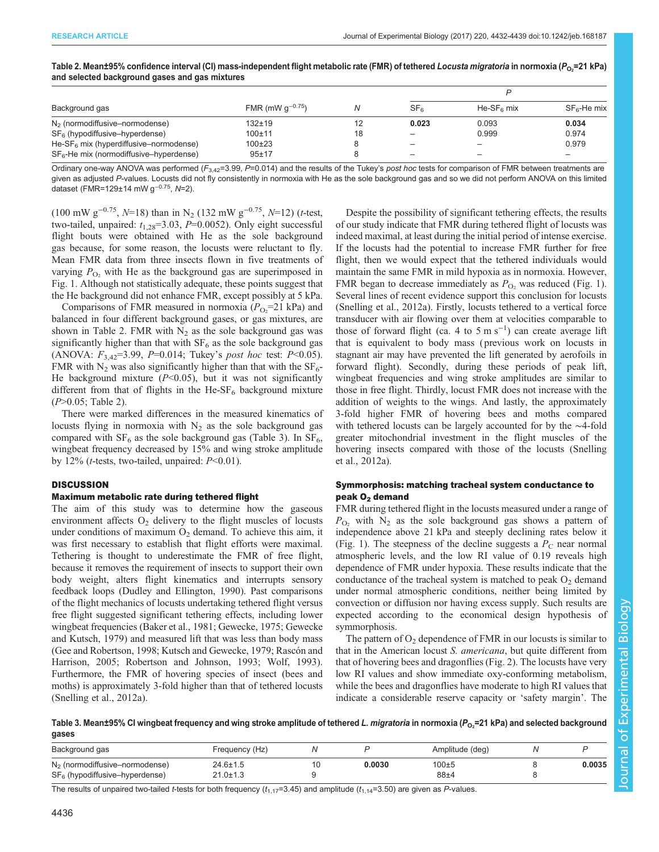| Background gas                            |                       |    |                          |                          |                          |  |
|-------------------------------------------|-----------------------|----|--------------------------|--------------------------|--------------------------|--|
|                                           | FMR (mW $q^{-0.75}$ ) |    | SF <sub>6</sub>          | $He-SF6 mix$             | $SF6$ -He mix            |  |
| $N2$ (normodiffusive–normodense)          | 132±19                |    | 0.023                    | 0.093                    | 0.034                    |  |
| $SF6$ (hypodiffusive–hyperdense)          | 100±11                | 18 | $\overline{\phantom{m}}$ | 0.999                    | 0.974                    |  |
| He-SF $6$ mix (hyperdiffusive–normodense) | $100+23$              |    | $\qquad \qquad -$        | -                        | 0.979                    |  |
| $SF6$ -He mix (normodiffusive-hyperdense) | $95 + 17$             |    | $\overline{\phantom{0}}$ | $\overline{\phantom{0}}$ | $\overline{\phantom{0}}$ |  |

<span id="page-4-0"></span>Table 2. Mean±95% confidence interval (CI) mass-independent flight metabolic rate (FMR) of tethered *Locusta migratoria* in normoxia (P<sub>O2</sub>=21 kPa)<br>and selected background gases and gas mixtures and selected background gases and gas mixtures

Ordinary one-way ANOVA was performed  $(F_{3,42}=3.99, P=0.014)$  and the results of the Tukey's post hoc tests for comparison of FMR between treatments are given as adjusted P-values. Locusts did not fly consistently in normoxia with He as the sole background gas and so we did not perform ANOVA on this limited dataset (FMR=129±14 mW g<sup>−</sup>0.75, N=2).

(100 mW g<sup>-0.75</sup>,  $N=18$ ) than in N<sub>2</sub> (132 mW g<sup>-0.75</sup>,  $N=12$ ) (t-test, two-tailed, unpaired:  $t_{1,28}$ =3.03, P=0.0052). Only eight successful flight bouts were obtained with He as the sole background gas because, for some reason, the locusts were reluctant to fly. Mean FMR data from three insects flown in five treatments of varying  $P_{\text{O}_2}$  with He as the background gas are superimposed in [Fig. 1.](#page-3-0) Although not statistically adequate, these points suggest that the He background did not enhance FMR, except possibly at 5 kPa.

Comparisons of FMR measured in normoxia  $(P_{O_2}=21 \text{ kPa})$  and balanced in four different background gases, or gas mixtures, are shown in Table 2. FMR with  $N_2$  as the sole background gas was significantly higher than that with  $SF<sub>6</sub>$  as the sole background gas (ANOVA:  $F_{3,42}$ =3.99, P=0.014; Tukey's post hoc test: P<0.05). FMR with  $N_2$  was also significantly higher than that with the SF<sub>6</sub>-He background mixture  $(P<0.05)$ , but it was not significantly different from that of flights in the He-SF $_6$  background mixture (P>0.05; Table 2).

There were marked differences in the measured kinematics of locusts flying in normoxia with  $N_2$  as the sole background gas compared with  $SF_6$  as the sole background gas (Table 3). In  $SF_6$ , wingbeat frequency decreased by 15% and wing stroke amplitude by 12% (*t*-tests, two-tailed, unpaired:  $P<0.01$ ).

# **DISCUSSION**

# Maximum metabolic rate during tethered flight

The aim of this study was to determine how the gaseous environment affects  $O_2$  delivery to the flight muscles of locusts under conditions of maximum  $O_2$  demand. To achieve this aim, it was first necessary to establish that flight efforts were maximal. Tethering is thought to underestimate the FMR of free flight, because it removes the requirement of insects to support their own body weight, alters flight kinematics and interrupts sensory feedback loops ([Dudley and Ellington, 1990](#page-6-0)). Past comparisons of the flight mechanics of locusts undertaking tethered flight versus free flight suggested significant tethering effects, including lower wingbeat frequencies ([Baker et al., 1981](#page-6-0); [Gewecke, 1975; Gewecke](#page-6-0) [and Kutsch, 1979](#page-6-0)) and measured lift that was less than body mass [\(Gee and Robertson, 1998; Kutsch and Gewecke, 1979](#page-6-0); [Rascón and](#page-6-0) [Harrison, 2005](#page-6-0); [Robertson and Johnson, 1993; Wolf, 1993\)](#page-7-0). Furthermore, the FMR of hovering species of insect (bees and moths) is approximately 3-fold higher than that of tethered locusts [\(Snelling et al., 2012a\)](#page-7-0).

Despite the possibility of significant tethering effects, the results of our study indicate that FMR during tethered flight of locusts was indeed maximal, at least during the initial period of intense exercise. If the locusts had the potential to increase FMR further for free flight, then we would expect that the tethered individuals would maintain the same FMR in mild hypoxia as in normoxia. However, FMR began to decrease immediately as  $P_{\text{O}_2}$  was reduced ([Fig. 1\)](#page-3-0). Several lines of recent evidence support this conclusion for locusts [\(Snelling et al., 2012a\)](#page-7-0). Firstly, locusts tethered to a vertical force transducer with air flowing over them at velocities comparable to those of forward flight (ca. 4 to 5 m s<sup>-1</sup>) can create average lift that is equivalent to body mass ( previous work on locusts in stagnant air may have prevented the lift generated by aerofoils in forward flight). Secondly, during these periods of peak lift, wingbeat frequencies and wing stroke amplitudes are similar to those in free flight. Thirdly, locust FMR does not increase with the addition of weights to the wings. And lastly, the approximately 3-fold higher FMR of hovering bees and moths compared with tethered locusts can be largely accounted for by the ∼4-fold greater mitochondrial investment in the flight muscles of the hovering insects compared with those of the locusts ([Snelling](#page-7-0) [et al., 2012a\)](#page-7-0).

# Symmorphosis: matching tracheal system conductance to peak O<sub>2</sub> demand

FMR during tethered flight in the locusts measured under a range of  $P_{\text{O}_2}$  with N<sub>2</sub> as the sole background gas shows a pattern of independence above 21 kPa and steeply declining rates below it [\(Fig. 1](#page-3-0)). The steepness of the decline suggests a  $P<sub>C</sub>$  near normal atmospheric levels, and the low RI value of 0.19 reveals high dependence of FMR under hypoxia. These results indicate that the conductance of the tracheal system is matched to peak  $O<sub>2</sub>$  demand under normal atmospheric conditions, neither being limited by convection or diffusion nor having excess supply. Such results are expected according to the economical design hypothesis of symmorphosis.

The pattern of  $O<sub>2</sub>$  dependence of FMR in our locusts is similar to that in the American locust S. americana, but quite different from that of hovering bees and dragonflies [\(Fig. 2](#page-5-0)). The locusts have very low RI values and show immediate oxy-conforming metabolism, while the bees and dragonflies have moderate to high RI values that indicate a considerable reserve capacity or 'safety margin'. The

Table 3. Mean±95% CI wingbeat frequency and wing stroke amplitude of tethered *L. migratoria* in normoxia (P<sub>O2</sub>=21 kPa) and selected background<br>Gases gases

| Background gas                                                       | Frequency (Hz)       |        | Amplitude (deg) |        |
|----------------------------------------------------------------------|----------------------|--------|-----------------|--------|
| $N2$ (normodiffusive–normodense)<br>$SF6$ (hypodiffusive-hyperdense) | 24.6±1.5<br>21.0±1.3 | 0.0030 | 100±5<br>88±4   | 0.0035 |

The results of unpaired two-tailed t-tests for both frequency  $(t_{1,17}=3.45)$  and amplitude  $(t_{1,14}=3.50)$  are given as P-values.

Journal of Experimental Biologyournal of Experimental Biology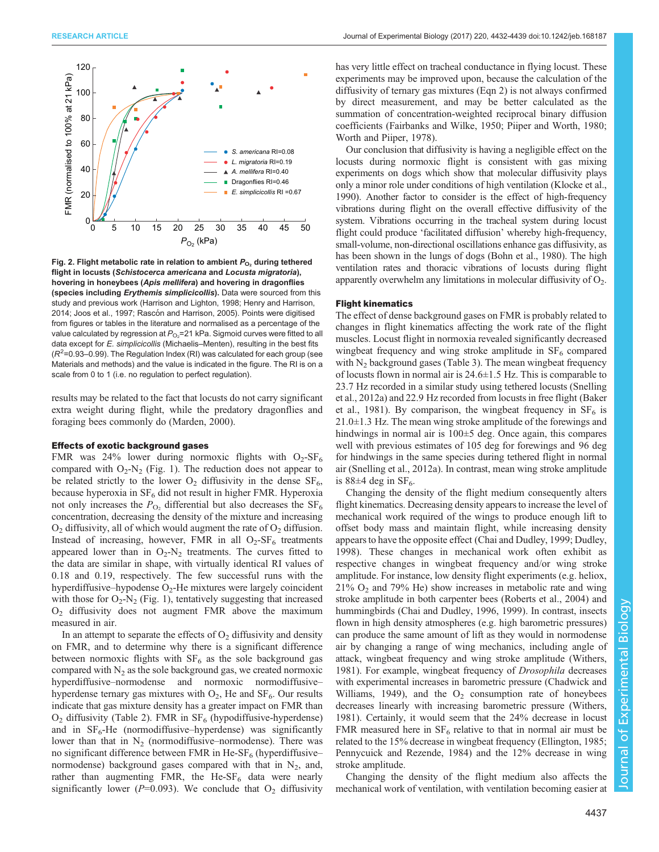<span id="page-5-0"></span>

Fig. 2. Flight metabolic rate in relation to ambient  $P_{\text{O}_2}$  during tethered flight in locusts (Schistocerca americana and Locusta migratoria), hovering in honeybees (Apis mellifera) and hovering in dragonflies (species including Erythemis simplicicollis). Data were sourced from this study and previous work [\(Harrison and Lighton, 1998](#page-6-0); [Henry and Harrison,](#page-6-0) [2014; Joos et al., 1997](#page-6-0); Rascó[n and Harrison, 2005](#page-6-0)). Points were digitised from figures or tables in the literature and normalised as a percentage of the value calculated by regression at  $P_{\rm O_2}$ =21 kPa. Sigmoid curves were fitted to all data except for E. simplicicollis (Michaelis–Menten), resulting in the best fits  $(R<sup>2</sup>=0.93-0.99)$ . The Regulation Index (RI) was calculated for each group (see Materials and methods) and the value is indicated in the figure. The RI is on a scale from 0 to 1 (i.e. no regulation to perfect regulation).

results may be related to the fact that locusts do not carry significant extra weight during flight, while the predatory dragonflies and foraging bees commonly do [\(Marden, 2000\)](#page-6-0).

## Effects of exotic background gases

FMR was 24% lower during normoxic flights with  $O_2$ -SF<sub>6</sub> compared with  $O_2$ -N<sub>2</sub> ([Fig. 1](#page-3-0)). The reduction does not appear to be related strictly to the lower  $O_2$  diffusivity in the dense  $SF_6$ , because hyperoxia in  $SF_6$  did not result in higher FMR. Hyperoxia not only increases the  $P_{\text{O}_2}$  differential but also decreases the  $SF_6$ concentration, decreasing the density of the mixture and increasing  $O_2$  diffusivity, all of which would augment the rate of  $O_2$  diffusion. Instead of increasing, however, FMR in all  $O<sub>2</sub>-SF<sub>6</sub>$  treatments appeared lower than in  $O_2-N_2$  treatments. The curves fitted to the data are similar in shape, with virtually identical RI values of 0.18 and 0.19, respectively. The few successful runs with the hyperdiffusive–hypodense  $O<sub>2</sub>$ -He mixtures were largely coincident with those for  $O_2$ -N<sub>2</sub> [\(Fig. 1\)](#page-3-0), tentatively suggesting that increased O2 diffusivity does not augment FMR above the maximum measured in air.

In an attempt to separate the effects of  $O<sub>2</sub>$  diffusivity and density on FMR, and to determine why there is a significant difference between normoxic flights with  $SF<sub>6</sub>$  as the sole background gas compared with  $N_2$  as the sole background gas, we created normoxic hyperdiffusive–normodense and normoxic normodiffusive– hyperdense ternary gas mixtures with  $O_2$ , He and  $SF_6$ . Our results indicate that gas mixture density has a greater impact on FMR than  $O<sub>2</sub>$  diffusivity ([Table 2](#page-4-0)). FMR in  $SF<sub>6</sub>$  (hypodiffusive-hyperdense) and in  $SF_6$ -He (normodiffusive–hyperdense) was significantly lower than that in  $N_2$  (normodiffusive–normodense). There was no significant difference between FMR in He-SF $_6$  (hyperdiffusive– normodense) background gases compared with that in  $N_2$ , and, rather than augmenting FMR, the He-SF $<sub>6</sub>$  data were nearly</sub> significantly lower ( $P=0.093$ ). We conclude that  $O_2$  diffusivity

has very little effect on tracheal conductance in flying locust. These experiments may be improved upon, because the calculation of the diffusivity of ternary gas mixtures (Eqn 2) is not always confirmed by direct measurement, and may be better calculated as the summation of concentration-weighted reciprocal binary diffusion coefficients ([Fairbanks and Wilke, 1950; Piiper and Worth, 1980](#page-6-0); [Worth and Piiper, 1978](#page-7-0)).

Our conclusion that diffusivity is having a negligible effect on the locusts during normoxic flight is consistent with gas mixing experiments on dogs which show that molecular diffusivity plays only a minor role under conditions of high ventilation [\(Klocke et al.,](#page-6-0) [1990\)](#page-6-0). Another factor to consider is the effect of high-frequency vibrations during flight on the overall effective diffusivity of the system. Vibrations occurring in the tracheal system during locust flight could produce 'facilitated diffusion' whereby high-frequency, small-volume, non-directional oscillations enhance gas diffusivity, as has been shown in the lungs of dogs [\(Bohn et al., 1980\)](#page-6-0). The high ventilation rates and thoracic vibrations of locusts during flight apparently overwhelm any limitations in molecular diffusivity of  $O_2$ .

# Flight kinematics

The effect of dense background gases on FMR is probably related to changes in flight kinematics affecting the work rate of the flight muscles. Locust flight in normoxia revealed significantly decreased wingbeat frequency and wing stroke amplitude in  $SF<sub>6</sub>$  compared with  $N_2$  background gases [\(Table 3](#page-4-0)). The mean wingbeat frequency of locusts flown in normal air is 24.6±1.5 Hz. This is comparable to 23.7 Hz recorded in a similar study using tethered locusts ([Snelling](#page-7-0) [et al., 2012a\)](#page-7-0) and 22.9 Hz recorded from locusts in free flight ([Baker](#page-6-0) [et al., 1981](#page-6-0)). By comparison, the wingbeat frequency in  $SF_6$  is 21.0±1.3 Hz. The mean wing stroke amplitude of the forewings and hindwings in normal air is  $100\pm 5$  deg. Once again, this compares well with previous estimates of 105 deg for forewings and 96 deg for hindwings in the same species during tethered flight in normal air [\(Snelling et al., 2012a](#page-7-0)). In contrast, mean wing stroke amplitude is  $88\pm4$  deg in SF<sub>6</sub>.

Changing the density of the flight medium consequently alters flight kinematics. Decreasing density appears to increase the level of mechanical work required of the wings to produce enough lift to offset body mass and maintain flight, while increasing density appears to have the opposite effect [\(Chai and Dudley, 1999; Dudley,](#page-6-0) [1998\)](#page-6-0). These changes in mechanical work often exhibit as respective changes in wingbeat frequency and/or wing stroke amplitude. For instance, low density flight experiments (e.g. heliox,  $21\%$  O<sub>2</sub> and 79% He) show increases in metabolic rate and wing stroke amplitude in both carpenter bees ([Roberts et al., 2004](#page-7-0)) and hummingbirds ([Chai and Dudley, 1996](#page-6-0), [1999](#page-6-0)). In contrast, insects flown in high density atmospheres (e.g. high barometric pressures) can produce the same amount of lift as they would in normodense air by changing a range of wing mechanics, including angle of attack, wingbeat frequency and wing stroke amplitude [\(Withers,](#page-7-0) [1981\)](#page-7-0). For example, wingbeat frequency of *Drosophila* decreases with experimental increases in barometric pressure [\(Chadwick and](#page-6-0) [Williams, 1949](#page-6-0)), and the  $O<sub>2</sub>$  consumption rate of honeybees decreases linearly with increasing barometric pressure [\(Withers,](#page-7-0) [1981\)](#page-7-0). Certainly, it would seem that the 24% decrease in locust FMR measured here in  $SF_6$  relative to that in normal air must be related to the 15% decrease in wingbeat frequency ([Ellington, 1985](#page-6-0); [Pennycuick and Rezende, 1984\)](#page-6-0) and the 12% decrease in wing stroke amplitude.

Changing the density of the flight medium also affects the mechanical work of ventilation, with ventilation becoming easier at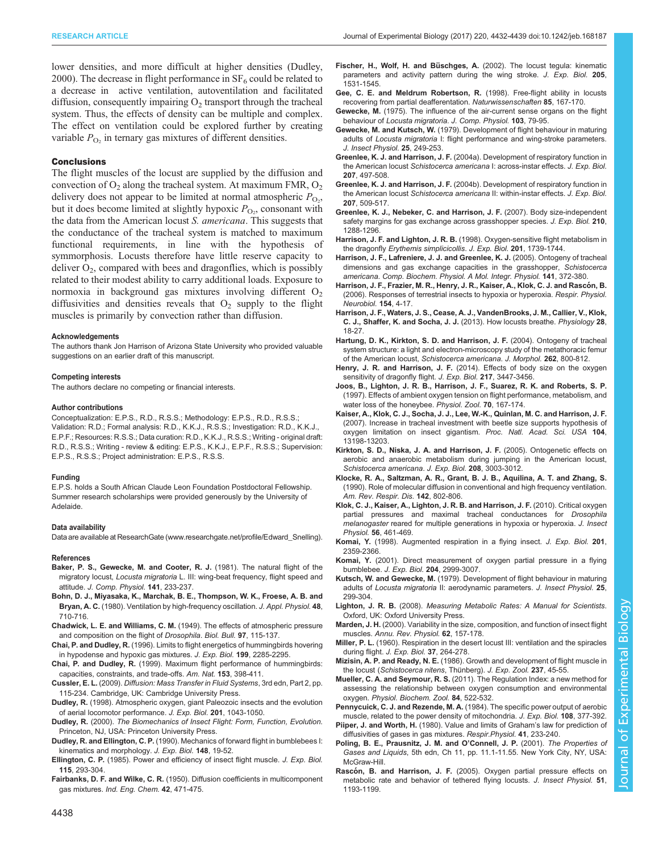<span id="page-6-0"></span>lower densities, and more difficult at higher densities (Dudley, 2000). The decrease in flight performance in  $SF<sub>6</sub>$  could be related to a decrease in active ventilation, autoventilation and facilitated diffusion, consequently impairing  $O<sub>2</sub>$  transport through the tracheal system. Thus, the effects of density can be multiple and complex. The effect on ventilation could be explored further by creating variable  $P_{\text{O}_2}$  in ternary gas mixtures of different densities.

## **Conclusions**

The flight muscles of the locust are supplied by the diffusion and convection of  $O_2$  along the tracheal system. At maximum FMR,  $O_2$ delivery does not appear to be limited at normal atmospheric  $P_{\text{O}_2}$ , but it does become limited at slightly hypoxic  $P_{\text{O}_2}$ , consonant with the data from the American locust S. americana. This suggests that the conductance of the tracheal system is matched to maximum functional requirements, in line with the hypothesis of symmorphosis. Locusts therefore have little reserve capacity to deliver  $O_2$ , compared with bees and dragonflies, which is possibly related to their modest ability to carry additional loads. Exposure to normoxia in background gas mixtures involving different  $O_2$ diffusivities and densities reveals that  $O<sub>2</sub>$  supply to the flight muscles is primarily by convection rather than diffusion.

#### Acknowledgements

The authors thank Jon Harrison of Arizona State University who provided valuable suggestions on an earlier draft of this manuscript.

#### Competing interests

The authors declare no competing or financial interests.

#### Author contributions

Conceptualization: E.P.S., R.D., R.S.S.; Methodology: E.P.S., R.D., R.S.S.; Validation: R.D.; Formal analysis: R.D., K.K.J., R.S.S.; Investigation: R.D., K.K.J., E.P.F.; Resources: R.S.S.; Data curation: R.D., K.K.J., R.S.S.; Writing - original draft: R.D., R.S.S.; Writing - review & editing: E.P.S., K.K.J., E.P.F., R.S.S.; Supervision: E.P.S., R.S.S.; Project administration: E.P.S., R.S.S.

#### Funding

E.P.S. holds a South African Claude Leon Foundation Postdoctoral Fellowship. Summer research scholarships were provided generously by the University of Adelaide.

#### Data availability

Data are available at ResearchGate ([www.researchgate.net/profile/Edward\\_Snelling\)](http://www.researchgate.net/profile/Edward_Snelling).

#### References

- Baker, P. S., Gewecke, M. and Cooter, R. J. (1981). The natural flight of the migratory locust, Locusta migratoria L. III: wing-beat frequency, flight speed and attitude. J. Comp. Physiol. 141, 233-237.
- Bohn, D. J., Miyasaka, K., Marchak, B. E., Thompson, W. K., Froese, A. B. and Bryan, A. C. (1980). Ventilation by high-frequency oscillation. J. Appl. Physiol. 48, 710-716.
- Chadwick, L. E. and Williams, C. M. [\(1949\). The effects of atmospheric pressure](http://dx.doi.org/10.2307/1538291) [and composition on the flight of](http://dx.doi.org/10.2307/1538291) Drosophila. Biol. Bull. 97, 115-137.
- Chai, P. and Dudley, R. (1996). Limits to flight energetics of hummingbirds hovering in hypodense and hypoxic gas mixtures. J. Exp. Biol. 199, 2285-2295.
- Chai, P. and Dudley, R. (1999). Maximum flight performance of hummingbirds: capacities, constraints, and trade-offs. Am. Nat. 153, 398-411.
- Cussler, E. L. (2009). Diffusion: Mass Transfer in Fluid Systems, 3rd edn, Part 2, pp. 115-234. Cambridge, UK: Cambridge University Press.
- Dudley, R. (1998). Atmospheric oxygen, giant Paleozoic insects and the evolution of aerial locomotor performance. J. Exp. Biol. 201, 1043-1050.
- Dudley, R. (2000). The Biomechanics of Insect Flight: Form, Function, Evolution. Princeton, NJ, USA: Princeton University Press.
- Dudley, R. and Ellington, C. P. (1990). Mechanics of forward flight in bumblebees I: kinematics and morphology. J. Exp. Biol. 148, 19-52.
- Ellington, C. P. (1985). Power and efficiency of insect flight muscle. J. Exp. Biol. 115, 293-304.
- Fairbanks, D. F. and Wilke, C. R. [\(1950\). Diffusion coefficients in multicomponent](http://dx.doi.org/10.1021/ie50483a022) gas mixtures. [Ind. Eng. Chem.](http://dx.doi.org/10.1021/ie50483a022) 42, 471-475.
- Fischer, H., Wolf, H. and Büschges, A. (2002). The locust tegula: kinematic parameters and activity pattern during the wing stroke. J. Exp. Biol. 205, 1531-1545.
- [Gee, C. E. and Meldrum Robertson, R.](http://dx.doi.org/10.1007/s001140050477) (1998). Free-flight ability in locusts [recovering from partial deafferentation.](http://dx.doi.org/10.1007/s001140050477) Naturwissenschaften 85, 167-170.
- Gewecke, M. [\(1975\). The influence of the air-current sense organs on the flight](http://dx.doi.org/10.1007/BF01380046) behaviour of [Locusta migratoria](http://dx.doi.org/10.1007/BF01380046). J. Comp. Physiol. 103, 79-95.
- Gewecke, M. and Kutsch, W. [\(1979\). Development of flight behaviour in maturing](http://dx.doi.org/10.1016/0022-1910(79)90051-9) adults of Locusta migratoria [I: flight performance and wing-stroke parameters.](http://dx.doi.org/10.1016/0022-1910(79)90051-9) [J. Insect Physiol.](http://dx.doi.org/10.1016/0022-1910(79)90051-9) 25, 249-253.
- Greenlee, K. J. and Harrison, J. F. [\(2004a\). Development of respiratory function in](http://dx.doi.org/10.1242/jeb.00767) the American locust [Schistocerca americana](http://dx.doi.org/10.1242/jeb.00767) I: across-instar effects. J. Exp. Biol. 207[, 497-508.](http://dx.doi.org/10.1242/jeb.00767)
- Greenlee, K. J. and Harrison, J. F. [\(2004b\). Development of respiratory function in](http://dx.doi.org/10.1242/jeb.00766) the American locust [Schistocerca americana](http://dx.doi.org/10.1242/jeb.00766) II: within-instar effects. J. Exp. Biol. 207[, 509-517.](http://dx.doi.org/10.1242/jeb.00766)
- [Greenlee, K. J., Nebeker, C. and Harrison, J. F.](http://dx.doi.org/10.1242/jeb.001982) (2007). Body size-independent [safety margins for gas exchange across grasshopper species.](http://dx.doi.org/10.1242/jeb.001982) J. Exp. Biol. 210, [1288-1296.](http://dx.doi.org/10.1242/jeb.001982)
- Harrison, J. F. and Lighton, J. R. B. (1998). Oxygen-sensitive flight metabolism in the dragonfly Erythemis simplicicollis. J. Exp. Biol. 201, 1739-1744.
- [Harrison, J. F., Lafreniere, J. J. and Greenlee, K. J.](http://dx.doi.org/10.1016/j.cbpb.2005.05.055) (2005). Ontogeny of tracheal [dimensions and gas exchange capacities in the grasshopper,](http://dx.doi.org/10.1016/j.cbpb.2005.05.055) Schistocerca americana. [Comp. Biochem. Physiol. A Mol. Integr. Physiol.](http://dx.doi.org/10.1016/j.cbpb.2005.05.055) 141, 372-380.
- Harrison, J. F., Frazier, M. R., Henry, J. R., Kaiser, A., Klok, C. J. and Rascón, B. [\(2006\). Responses of terrestrial insects to hypoxia or hyperoxia.](http://dx.doi.org/10.1016/j.resp.2006.02.008) Respir. Physiol. [Neurobiol.](http://dx.doi.org/10.1016/j.resp.2006.02.008) 154, 4-17.
- [Harrison, J. F., Waters, J. S., Cease, A. J., VandenBrooks, J. M., Callier, V., Klok,](http://dx.doi.org/10.1152/physiol.00043.2012) [C. J., Shaffer, K. and Socha, J. J.](http://dx.doi.org/10.1152/physiol.00043.2012) (2013). How locusts breathe. Physiology 28, [18-27.](http://dx.doi.org/10.1152/physiol.00043.2012)
- [Hartung, D. K., Kirkton, S. D. and Harrison, J. F.](http://dx.doi.org/10.1002/jmor.10281) (2004). Ontogeny of tracheal [system structure: a light and electron-microscopy study of the metathoracic femur](http://dx.doi.org/10.1002/jmor.10281) of the American locust, [Schistocerca americana](http://dx.doi.org/10.1002/jmor.10281). J. Morphol. 262, 800-812.
- Henry, J. R. and Harrison, J. F. [\(2014\). Effects of body size on the oxygen](http://dx.doi.org/10.1242/jeb.095828) [sensitivity of dragonfly flight.](http://dx.doi.org/10.1242/jeb.095828) J. Exp. Biol. 217, 3447-3456.
- [Joos, B., Lighton, J. R. B., Harrison, J. F., Suarez, R. K. and Roberts, S. P.](http://dx.doi.org/10.1086/639570) [\(1997\). Effects of ambient oxygen tension on flight performance, metabolism, and](http://dx.doi.org/10.1086/639570) [water loss of the honeybee.](http://dx.doi.org/10.1086/639570) Physiol. Zool. 70, 167-174.
- [Kaiser, A., Klok, C. J., Socha, J. J., Lee, W.-K., Quinlan, M. C. and Harrison, J. F.](http://dx.doi.org/10.1073/pnas.0611544104) [\(2007\). Increase in tracheal investment with beetle size supports hypothesis of](http://dx.doi.org/10.1073/pnas.0611544104) [oxygen limitation on insect gigantism.](http://dx.doi.org/10.1073/pnas.0611544104) Proc. Natl. Acad. Sci. USA 104, [13198-13203.](http://dx.doi.org/10.1073/pnas.0611544104)
- [Kirkton, S. D., Niska, J. A. and Harrison, J. F.](http://dx.doi.org/10.1242/jeb.01747) (2005). Ontogenetic effects on [aerobic and anaerobic metabolism during jumping in the American locust,](http://dx.doi.org/10.1242/jeb.01747) [Schistocerca americana](http://dx.doi.org/10.1242/jeb.01747). J. Exp. Biol. 208, 3003-3012.
- [Klocke, R. A., Saltzman, A. R., Grant, B. J. B., Aquilina, A. T. and Zhang, S.](http://dx.doi.org/10.1164/ajrccm/142.4.802) [\(1990\). Role of molecular diffusion in conventional and high frequency ventilation.](http://dx.doi.org/10.1164/ajrccm/142.4.802) [Am. Rev. Respir. Dis.](http://dx.doi.org/10.1164/ajrccm/142.4.802) 142, 802-806.
- [Klok, C. J., Kaiser, A., Lighton, J. R. B. and Harrison, J. F.](http://dx.doi.org/10.1016/j.jinsphys.2009.08.004) (2010). Critical oxygen [partial pressures and maximal tracheal conductances for](http://dx.doi.org/10.1016/j.jinsphys.2009.08.004) Drosophila melanogaster [reared for multiple generations in hypoxia or hyperoxia.](http://dx.doi.org/10.1016/j.jinsphys.2009.08.004) J. Insect Physiol. 56[, 461-469.](http://dx.doi.org/10.1016/j.jinsphys.2009.08.004)
- Komai, Y. (1998). Augmented respiration in a flying insect. J. Exp. Biol. 201, 2359-2366.
- Komai, Y. (2001). Direct measurement of oxygen partial pressure in a flying bumblebee. J. Exp. Biol. 204, 2999-3007.
- Kutsch, W. and Gewecke, M. [\(1979\). Development of flight behaviour in maturing](http://dx.doi.org/10.1016/0022-1910(79)90016-7) adults of Locusta migratoria [II: aerodynamic parameters.](http://dx.doi.org/10.1016/0022-1910(79)90016-7) J. Insect Physiol. 25, [299-304.](http://dx.doi.org/10.1016/0022-1910(79)90016-7)
- Lighton, J. R. B. (2008). Measuring Metabolic Rates: A Manual for Scientists. Oxford, UK: Oxford University Press.
- Marden, J. H. [\(2000\). Variability in the size, composition, and function of insect flight](http://dx.doi.org/10.1146/annurev.physiol.62.1.157) muscles. [Annu. Rev. Physiol.](http://dx.doi.org/10.1146/annurev.physiol.62.1.157) 62, 157-178.
- Miller, P. L. (1960). Respiration in the desert locust III: ventilation and the spiracles during flight. J. Exp. Biol. 37, 264-278.
- Mizisin, A. P. and Ready, N. E. [\(1986\). Growth and development of flight muscle in](http://dx.doi.org/10.1002/jez.1402370108) the locust ([Schistocerca nitens](http://dx.doi.org/10.1002/jez.1402370108), Thünberg). J. Exp. Zool. 237, 45-55.
- Mueller, C. A. and Seymour, R. S. [\(2011\). The Regulation Index: a new method for](http://dx.doi.org/10.1086/661953) [assessing the relationship between oxygen consumption and environmental](http://dx.doi.org/10.1086/661953) oxygen. [Physiol. Biochem. Zool.](http://dx.doi.org/10.1086/661953) 84, 522-532.

Pennycuick, C. J. and Rezende, M. A. (1984). The specific power output of aerobic muscle, related to the power density of mitochondria. J. Exp. Biol. 108, 377-392.

- Piiper, J. and Worth, H. [\(1980\). Value and limits of Graham](http://dx.doi.org/10.1016/0034-5687(80)90073-0)'s law for prediction of [diffusivities of gases in gas mixtures.](http://dx.doi.org/10.1016/0034-5687(80)90073-0) Respir.Physiol. 41, 233-240.
- Poling, B. E., Prausnitz, J. M. and O'Connell, J. P. (2001). The Properties of Gases and Liquids, 5th edn, Ch 11, pp. 11.1-11.55. New York City, NY, USA: McGraw-Hill.
- Rascón, B. and Harrison, J. F. [\(2005\). Oxygen partial pressure effects on](http://dx.doi.org/10.1016/j.jinsphys.2005.06.008) [metabolic rate and behavior of tethered flying locusts.](http://dx.doi.org/10.1016/j.jinsphys.2005.06.008) J. Insect Physiol. 51, [1193-1199.](http://dx.doi.org/10.1016/j.jinsphys.2005.06.008)